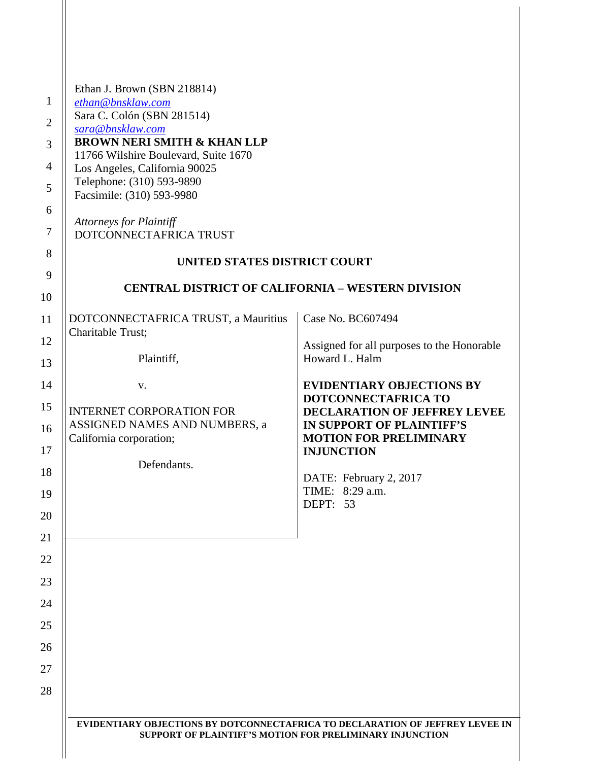| Ethan J. Brown (SBN 218814)                                           |                                                                                                                                           |
|-----------------------------------------------------------------------|-------------------------------------------------------------------------------------------------------------------------------------------|
| ethan@bnsklaw.com                                                     |                                                                                                                                           |
| Sara C. Colón (SBN 281514)                                            |                                                                                                                                           |
| sara@bnsklaw.com                                                      |                                                                                                                                           |
| <b>BROWN NERI SMITH &amp; KHAN LLP</b>                                |                                                                                                                                           |
| 11766 Wilshire Boulevard, Suite 1670<br>Los Angeles, California 90025 |                                                                                                                                           |
| Telephone: (310) 593-9890                                             |                                                                                                                                           |
| Facsimile: (310) 593-9980                                             |                                                                                                                                           |
|                                                                       |                                                                                                                                           |
| <b>Attorneys for Plaintiff</b>                                        |                                                                                                                                           |
| DOTCONNECTAFRICA TRUST                                                |                                                                                                                                           |
| UNITED STATES DISTRICT COURT                                          |                                                                                                                                           |
|                                                                       |                                                                                                                                           |
|                                                                       | <b>CENTRAL DISTRICT OF CALIFORNIA - WESTERN DIVISION</b>                                                                                  |
|                                                                       |                                                                                                                                           |
| DOTCONNECTAFRICA TRUST, a Mauritius                                   | Case No. BC607494                                                                                                                         |
| Charitable Trust;                                                     |                                                                                                                                           |
|                                                                       | Assigned for all purposes to the Honorable                                                                                                |
| Plaintiff,                                                            | Howard L. Halm                                                                                                                            |
|                                                                       | <b>EVIDENTIARY OBJECTIONS BY</b>                                                                                                          |
| V.                                                                    | DOTCONNECTAFRICA TO                                                                                                                       |
| <b>INTERNET CORPORATION FOR</b>                                       | <b>DECLARATION OF JEFFREY LEVEE</b>                                                                                                       |
| ASSIGNED NAMES AND NUMBERS, a                                         | IN SUPPORT OF PLAINTIFF'S                                                                                                                 |
| California corporation;                                               | <b>MOTION FOR PRELIMINARY</b>                                                                                                             |
|                                                                       | <b>INJUNCTION</b>                                                                                                                         |
| Defendants.                                                           |                                                                                                                                           |
|                                                                       | DATE: February 2, 2017                                                                                                                    |
|                                                                       | TIME: 8:29 a.m.<br>DEPT: 53                                                                                                               |
|                                                                       |                                                                                                                                           |
|                                                                       |                                                                                                                                           |
|                                                                       |                                                                                                                                           |
|                                                                       |                                                                                                                                           |
|                                                                       |                                                                                                                                           |
|                                                                       |                                                                                                                                           |
|                                                                       |                                                                                                                                           |
|                                                                       |                                                                                                                                           |
|                                                                       |                                                                                                                                           |
|                                                                       |                                                                                                                                           |
|                                                                       |                                                                                                                                           |
|                                                                       |                                                                                                                                           |
|                                                                       |                                                                                                                                           |
|                                                                       |                                                                                                                                           |
|                                                                       | EVIDENTIARY OBJECTIONS BY DOTCONNECTAFRICA TO DECLARATION OF JEFFREY LEVEE IN<br>SUPPORT OF PLAINTIFF'S MOTION FOR PRELIMINARY INJUNCTION |
|                                                                       |                                                                                                                                           |
|                                                                       |                                                                                                                                           |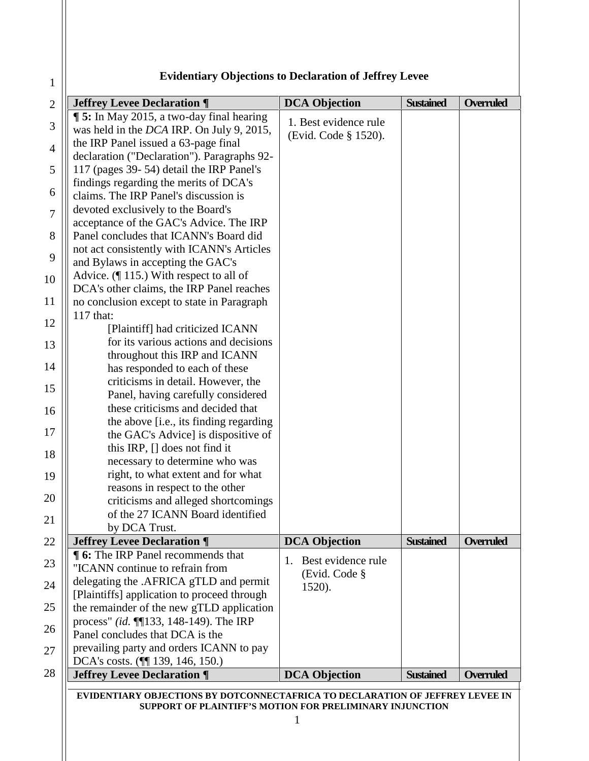## **Evidentiary Objections to Declaration of Jeffrey Levee**

| <b>Jeffrey Levee Declaration ¶</b>              | <b>DCA</b> Objection     | <b>Sustained</b> | <b>Overruled</b> |
|-------------------------------------------------|--------------------------|------------------|------------------|
| <b>15:</b> In May 2015, a two-day final hearing | 1. Best evidence rule    |                  |                  |
| was held in the DCA IRP. On July 9, 2015,       |                          |                  |                  |
| the IRP Panel issued a 63-page final            | (Evid. Code § 1520).     |                  |                  |
| declaration ("Declaration"). Paragraphs 92-     |                          |                  |                  |
| 117 (pages 39-54) detail the IRP Panel's        |                          |                  |                  |
| findings regarding the merits of DCA's          |                          |                  |                  |
| claims. The IRP Panel's discussion is           |                          |                  |                  |
| devoted exclusively to the Board's              |                          |                  |                  |
| acceptance of the GAC's Advice. The IRP         |                          |                  |                  |
| Panel concludes that ICANN's Board did          |                          |                  |                  |
| not act consistently with ICANN's Articles      |                          |                  |                  |
|                                                 |                          |                  |                  |
| and Bylaws in accepting the GAC's               |                          |                  |                  |
| Advice. $($ [ 115.) With respect to all of      |                          |                  |                  |
| DCA's other claims, the IRP Panel reaches       |                          |                  |                  |
| no conclusion except to state in Paragraph      |                          |                  |                  |
| 117 that:                                       |                          |                  |                  |
| [Plaintiff] had criticized ICANN                |                          |                  |                  |
| for its various actions and decisions           |                          |                  |                  |
| throughout this IRP and ICANN                   |                          |                  |                  |
| has responded to each of these                  |                          |                  |                  |
| criticisms in detail. However, the              |                          |                  |                  |
| Panel, having carefully considered              |                          |                  |                  |
| these criticisms and decided that               |                          |                  |                  |
| the above [i.e., its finding regarding          |                          |                  |                  |
| the GAC's Advice] is dispositive of             |                          |                  |                  |
| this IRP, $[]$ does not find it                 |                          |                  |                  |
| necessary to determine who was                  |                          |                  |                  |
| right, to what extent and for what              |                          |                  |                  |
| reasons in respect to the other                 |                          |                  |                  |
| criticisms and alleged shortcomings             |                          |                  |                  |
| of the 27 ICANN Board identified                |                          |                  |                  |
| by DCA Trust.                                   |                          |                  |                  |
| <b>Jeffrey Levee Declaration ¶</b>              | <b>DCA Objection</b>     | <b>Sustained</b> | <b>Overruled</b> |
| <b>16:</b> The IRP Panel recommends that        |                          |                  |                  |
| "ICANN continue to refrain from                 | Best evidence rule<br>1. |                  |                  |
| delegating the .AFRICA gTLD and permit          | (Evid. Code §            |                  |                  |
| [Plaintiffs] application to proceed through     | 1520).                   |                  |                  |
| the remainder of the new gTLD application       |                          |                  |                  |
|                                                 |                          |                  |                  |
| process" (id. ¶133, 148-149). The IRP           |                          |                  |                  |
| Panel concludes that DCA is the                 |                          |                  |                  |
| prevailing party and orders ICANN to pay        |                          |                  |                  |
| DCA's costs. (11 139, 146, 150.)                |                          |                  |                  |
| <b>Jeffrey Levee Declaration ¶</b>              | <b>DCA Objection</b>     | <b>Sustained</b> | <b>Overruled</b> |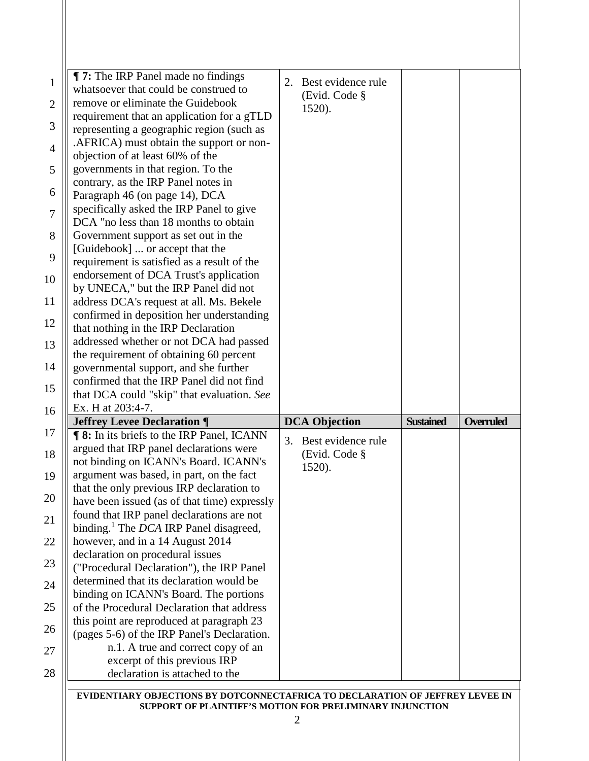| <b>The IRP Panel made no findings</b><br>whatsoever that could be construed to<br>remove or eliminate the Guidebook<br>requirement that an application for a gTLD<br>representing a geographic region (such as<br>.AFRICA) must obtain the support or non-<br>objection of at least 60% of the<br>governments in that region. To the<br>contrary, as the IRP Panel notes in<br>Paragraph 46 (on page 14), DCA<br>specifically asked the IRP Panel to give<br>DCA "no less than 18 months to obtain<br>Government support as set out in the<br>[Guidebook]  or accept that the<br>requirement is satisfied as a result of the<br>endorsement of DCA Trust's application<br>by UNECA," but the IRP Panel did not<br>address DCA's request at all. Ms. Bekele<br>confirmed in deposition her understanding<br>that nothing in the IRP Declaration<br>addressed whether or not DCA had passed<br>the requirement of obtaining 60 percent<br>governmental support, and she further<br>confirmed that the IRP Panel did not find | Best evidence rule<br>2.<br>(Evid. Code §<br>1520). |                  |                  |
|----------------------------------------------------------------------------------------------------------------------------------------------------------------------------------------------------------------------------------------------------------------------------------------------------------------------------------------------------------------------------------------------------------------------------------------------------------------------------------------------------------------------------------------------------------------------------------------------------------------------------------------------------------------------------------------------------------------------------------------------------------------------------------------------------------------------------------------------------------------------------------------------------------------------------------------------------------------------------------------------------------------------------|-----------------------------------------------------|------------------|------------------|
| that DCA could "skip" that evaluation. See<br>Ex. H at 203:4-7.                                                                                                                                                                                                                                                                                                                                                                                                                                                                                                                                                                                                                                                                                                                                                                                                                                                                                                                                                            |                                                     |                  |                  |
| <b>Jeffrey Levee Declaration ¶</b>                                                                                                                                                                                                                                                                                                                                                                                                                                                                                                                                                                                                                                                                                                                                                                                                                                                                                                                                                                                         | <b>DCA Objection</b>                                | <b>Sustained</b> | <b>Overruled</b> |
| <b>18:</b> In its briefs to the IRP Panel, ICANN<br>argued that IRP panel declarations were<br>not binding on ICANN's Board. ICANN's<br>argument was based, in part, on the fact<br>that the only previous IRP declaration to<br>have been issued (as of that time) expressly<br>found that IRP panel declarations are not<br>binding. <sup>1</sup> The DCA IRP Panel disagreed,<br>however, and in a 14 August 2014<br>declaration on procedural issues<br>("Procedural Declaration"), the IRP Panel<br>determined that its declaration would be<br>binding on ICANN's Board. The portions<br>of the Procedural Declaration that address<br>this point are reproduced at paragraph 23<br>(pages 5-6) of the IRP Panel's Declaration.<br>n.1. A true and correct copy of an<br>excerpt of this previous IRP<br>declaration is attached to the                                                                                                                                                                              | 3. Best evidence rule<br>(Evid. Code §<br>1520).    |                  |                  |

**EVIDENTIARY OBJECTIONS BY DOTCONNECTAFRICA TO DECLARATION OF JEFFREY LEVEE IN SUPPORT OF PLAINTIFF'S MOTION FOR PRELIMINARY INJUNCTION**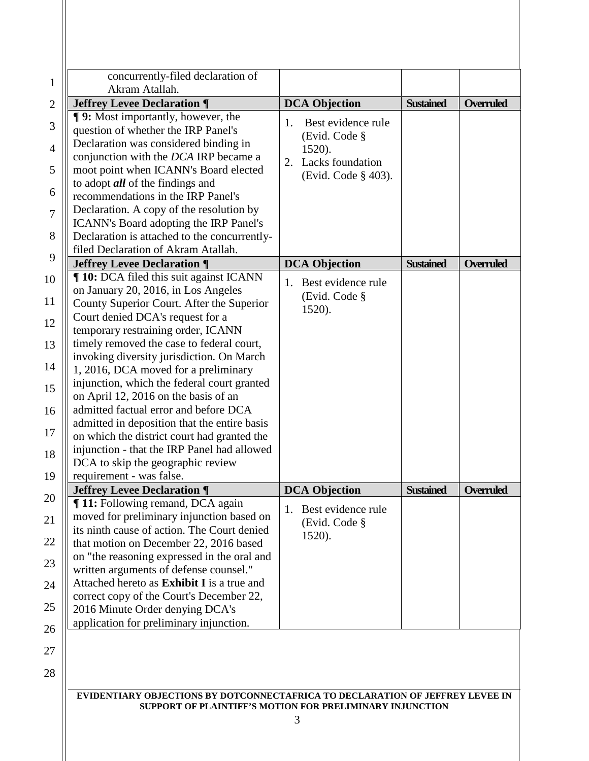| concurrently-filed declaration of<br>Akram Atallah.                                   |                          |                  |                  |
|---------------------------------------------------------------------------------------|--------------------------|------------------|------------------|
| <b>Jeffrey Levee Declaration ¶</b>                                                    | <b>DCA</b> Objection     | <b>Sustained</b> | <b>Overruled</b> |
| <b>T</b> 9: Most importantly, however, the                                            | Best evidence rule<br>1. |                  |                  |
| question of whether the IRP Panel's                                                   | (Evid. Code §            |                  |                  |
| Declaration was considered binding in                                                 | 1520).                   |                  |                  |
| conjunction with the DCA IRP became a                                                 | Lacks foundation<br>2.   |                  |                  |
| moot point when ICANN's Board elected                                                 | (Evid. Code § 403).      |                  |                  |
| to adopt <i>all</i> of the findings and                                               |                          |                  |                  |
| recommendations in the IRP Panel's                                                    |                          |                  |                  |
| Declaration. A copy of the resolution by                                              |                          |                  |                  |
| ICANN's Board adopting the IRP Panel's                                                |                          |                  |                  |
| Declaration is attached to the concurrently-                                          |                          |                  |                  |
| filed Declaration of Akram Atallah.                                                   |                          |                  |                  |
| <b>Jeffrey Levee Declaration ¶</b>                                                    | <b>DCA Objection</b>     | <b>Sustained</b> | <b>Overruled</b> |
| <b>10:</b> DCA filed this suit against ICANN                                          | Best evidence rule<br>1. |                  |                  |
| on January 20, 2016, in Los Angeles                                                   | (Evid. Code §            |                  |                  |
| County Superior Court. After the Superior                                             | 1520).                   |                  |                  |
| Court denied DCA's request for a                                                      |                          |                  |                  |
| temporary restraining order, ICANN                                                    |                          |                  |                  |
| timely removed the case to federal court,                                             |                          |                  |                  |
| invoking diversity jurisdiction. On March                                             |                          |                  |                  |
| 1, 2016, DCA moved for a preliminary                                                  |                          |                  |                  |
| injunction, which the federal court granted                                           |                          |                  |                  |
| on April 12, 2016 on the basis of an                                                  |                          |                  |                  |
| admitted factual error and before DCA                                                 |                          |                  |                  |
| admitted in deposition that the entire basis                                          |                          |                  |                  |
| on which the district court had granted the                                           |                          |                  |                  |
| injunction - that the IRP Panel had allowed                                           |                          |                  |                  |
| DCA to skip the geographic review                                                     |                          |                  |                  |
| requirement - was false.                                                              |                          |                  |                  |
| <b>Jeffrey Levee Declaration ¶</b><br>¶ 11: Following remand, DCA again               | <b>DCA Objection</b>     | <b>Sustained</b> | <b>Overruled</b> |
| moved for preliminary injunction based on                                             | Best evidence rule<br>1. |                  |                  |
| its ninth cause of action. The Court denied                                           | (Evid. Code §            |                  |                  |
| that motion on December 22, 2016 based                                                | 1520).                   |                  |                  |
|                                                                                       |                          |                  |                  |
| on "the reasoning expressed in the oral and<br>written arguments of defense counsel." |                          |                  |                  |
| Attached hereto as <b>Exhibit I</b> is a true and                                     |                          |                  |                  |
| correct copy of the Court's December 22,                                              |                          |                  |                  |
| 2016 Minute Order denying DCA's                                                       |                          |                  |                  |
|                                                                                       |                          |                  |                  |

28

## **EVIDENTIARY OBJECTIONS BY DOTCONNECTAFRICA TO DECLARATION OF JEFFREY LEVEE IN SUPPORT OF PLAINTIFF'S MOTION FOR PRELIMINARY INJUNCTION**